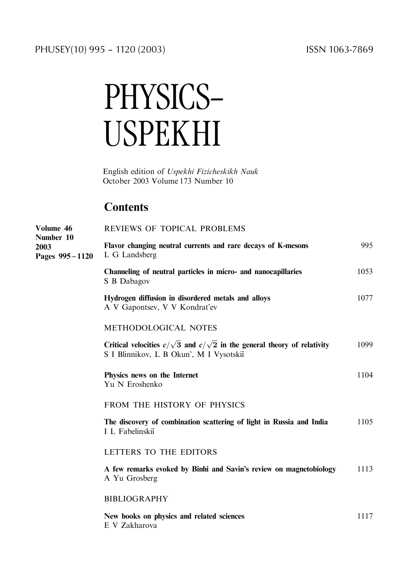# PHYSICS-USPEKHI

English edition of Uspekhi Fizicheskikh Nauk October 2003 Volume 173 Number 10

## **Contents**

| Volume 46<br>Number 10<br>2003<br>Pages 995-1120 | REVIEWS OF TOPICAL PROBLEMS                                                                                                      |      |
|--------------------------------------------------|----------------------------------------------------------------------------------------------------------------------------------|------|
|                                                  | Flavor changing neutral currents and rare decays of K-mesons<br>L G Landsberg                                                    | 995  |
|                                                  | Channeling of neutral particles in micro- and nanocapillaries<br>S B Dabagov                                                     | 1053 |
|                                                  | Hydrogen diffusion in disordered metals and alloys<br>A V Gapontsev, V V Kondrat'ev                                              | 1077 |
|                                                  | <b>METHODOLOGICAL NOTES</b>                                                                                                      |      |
|                                                  | Critical velocities $c/\sqrt{3}$ and $c/\sqrt{2}$ in the general theory of relativity<br>S I Blinnikov, L B Okun', M I Vysotskiĭ | 1099 |
|                                                  | Physics news on the Internet<br>Yu N Eroshenko                                                                                   | 1104 |
|                                                  | FROM THE HISTORY OF PHYSICS                                                                                                      |      |
|                                                  | The discovery of combination scattering of light in Russia and India<br>I L Fabelinskii                                          | 1105 |
|                                                  | LETTERS TO THE EDITORS                                                                                                           |      |
|                                                  | A few remarks evoked by Binhi and Savin's review on magnetobiology<br>A Yu Grosberg                                              | 1113 |
|                                                  | <b>BIBLIOGRAPHY</b>                                                                                                              |      |
|                                                  | New books on physics and related sciences<br>E V Zakharova                                                                       | 1117 |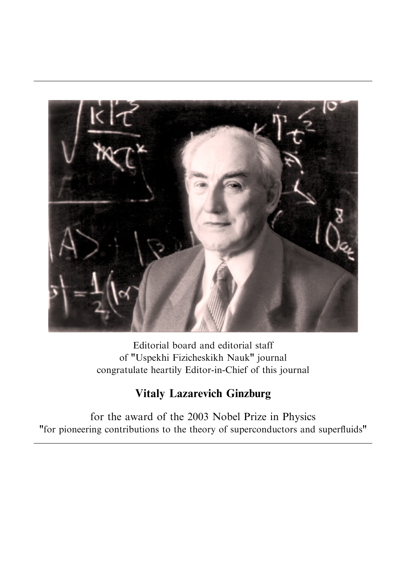

Editorial board and editorial staff of "Uspekhi Fizicheskikh Nauk" journal congratulate heartily Editor-in-Chief of this journal

# Vitaly Lazarevich Ginzburg

for the award of the 2003 Nobel Prize in Physics "for pioneering contributions to the theory of superconductors and superfluids"